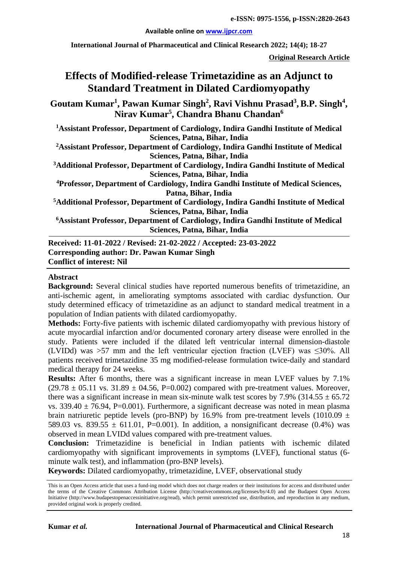**Available online on [www.ijpcr.com](http://www.ijpcr.com/)**

**International Journal of Pharmaceutical and Clinical Research 2022; 14(4); 18-27**

**Original Research Article**

# **Effects of Modified-release Trimetazidine as an Adjunct to Standard Treatment in Dilated Cardiomyopathy**

 $\boldsymbol{\mathrm{Goutam\ Kumar^1, Pawan\ Kumar\ Singh^2, Ravi\ Vishnu\ Prasad^3, B.P.\ Singh^4, }$ **Nirav Kumar5 , Chandra Bhanu Chandan6**

**1 Assistant Professor, Department of Cardiology, Indira Gandhi Institute of Medical Sciences, Patna, Bihar, India**

**2 Assistant Professor, Department of Cardiology, Indira Gandhi Institute of Medical Sciences, Patna, Bihar, India**

**3 Additional Professor, Department of Cardiology, Indira Gandhi Institute of Medical Sciences, Patna, Bihar, India**

**4Professor, Department of Cardiology, Indira Gandhi Institute of Medical Sciences, Patna, Bihar, India**

**5Additional Professor, Department of Cardiology, Indira Gandhi Institute of Medical Sciences, Patna, Bihar, India**

**6 Assistant Professor, Department of Cardiology, Indira Gandhi Institute of Medical Sciences, Patna, Bihar, India**

**Received: 11-01-2022 / Revised: 21-02-2022 / Accepted: 23-03-2022 Corresponding author: Dr. Pawan Kumar Singh Conflict of interest: Nil**

#### **Abstract**

**Background:** Several clinical studies have reported numerous benefits of trimetazidine, an anti-ischemic agent, in ameliorating symptoms associated with cardiac dysfunction. Our study determined efficacy of trimetazidine as an adjunct to standard medical treatment in a population of Indian patients with dilated cardiomyopathy.

**Methods:** Forty-five patients with ischemic dilated cardiomyopathy with previous history of acute myocardial infarction and/or documented coronary artery disease were enrolled in the study. Patients were included if the dilated left ventricular internal dimension-diastole (LVIDd) was >57 mm and the left ventricular ejection fraction (LVEF) was ≤30%. All patients received trimetazidine 35 mg modified-release formulation twice-daily and standard medical therapy for 24 weeks.

**Results:** After 6 months, there was a significant increase in mean LVEF values by 7.1%  $(29.78 \pm 05.11 \text{ vs. } 31.89 \pm 04.56, P=0.002)$  compared with pre-treatment values. Moreover, there was a significant increase in mean six-minute walk test scores by 7.9% (314.55  $\pm$  65.72 vs. 339.40  $\pm$  76.94, P=0.001). Furthermore, a significant decrease was noted in mean plasma brain natriuretic peptide levels (pro-BNP) by 16.9% from pre-treatment levels (1010.09  $\pm$ 589.03 vs. 839.55  $\pm$  611.01, P=0.001). In addition, a nonsignificant decrease (0.4%) was observed in mean LVIDd values compared with pre-treatment values.

**Conclusion:** Trimetazidine is beneficial in Indian patients with ischemic dilated cardiomyopathy with significant improvements in symptoms (LVEF), functional status (6 minute walk test), and inflammation (pro-BNP levels).

**Keywords:** Dilated cardiomyopathy, trimetazidine, LVEF, observational study

This is an Open Access article that uses a fund-ing model which does not charge readers or their institutions for access and distributed under the terms of the Creative Commons Attribution License (http://creativecommons.org/licenses/by/4.0) and the Budapest Open Access Initiative (http://www.budapestopenaccessinitiative.org/read), which permit unrestricted use, distribution, and reproduction in any medium, provided original work is properly credited.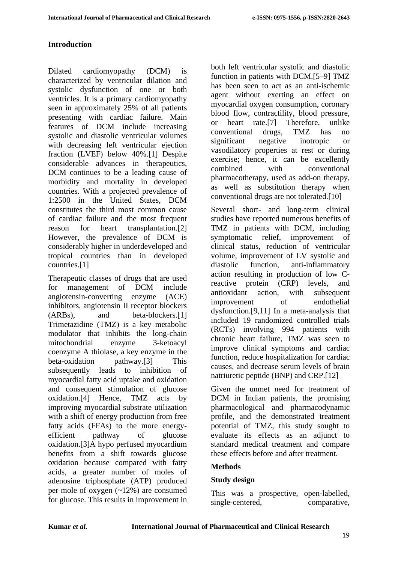## **Introduction**

Dilated cardiomyopathy (DCM) is characterized by ventricular dilation and systolic dysfunction of one or both ventricles. It is a primary cardiomyopathy seen in approximately 25% of all patients presenting with cardiac failure. Main features of DCM include increasing systolic and diastolic ventricular volumes with decreasing left ventricular ejection fraction (LVEF) below 40%.[1] Despite considerable advances in therapeutics, DCM continues to be a leading cause of morbidity and mortality in developed countries. With a projected prevalence of 1:2500 in the United States, DCM constitutes the third most common cause of cardiac failure and the most frequent reason for heart transplantation.[2] However, the prevalence of DCM is considerably higher in underdeveloped and tropical countries than in developed countries.[1]

Therapeutic classes of drugs that are used for management of DCM include angiotensin-converting enzyme (ACE) inhibitors, angiotensin II receptor blockers (ARBs), and beta-blockers.[1] Trimetazidine (TMZ) is a key metabolic modulator that inhibits the long-chain mitochondrial enzyme 3-ketoacyl coenzyme A thiolase, a key enzyme in the beta-oxidation pathway.[3] This subsequently leads to inhibition of myocardial fatty acid uptake and oxidation and consequent stimulation of glucose oxidation.[4] Hence, TMZ acts by improving myocardial substrate utilization with a shift of energy production from free fatty acids (FFAs) to the more energyefficient pathway of glucose oxidation.[3]A hypo perfused myocardium benefits from a shift towards glucose oxidation because compared with fatty acids, a greater number of moles of adenosine triphosphate (ATP) produced per mole of oxygen (~12%) are consumed for glucose. This results in improvement in both left ventricular systolic and diastolic function in patients with DCM.[5–9] TMZ has been seen to act as an anti-ischemic agent without exerting an effect on myocardial oxygen consumption, coronary blood flow, contractility, blood pressure, or heart rate.[7] Therefore, unlike conventional drugs, TMZ has no significant negative inotropic or vasodilatory properties at rest or during exercise; hence, it can be excellently combined with conventional pharmacotherapy, used as add-on therapy, as well as substitution therapy when conventional drugs are not tolerated.[10]

Several short- and long-term clinical studies have reported numerous benefits of TMZ in patients with DCM, including symptomatic relief, improvement of clinical status, reduction of ventricular volume, improvement of LV systolic and diastolic function, anti-inflammatory action resulting in production of low Creactive protein (CRP) levels, and antioxidant action, with subsequent improvement of endothelial dysfunction.[9,11] In a meta-analysis that included 19 randomized controlled trials (RCTs) involving 994 patients with chronic heart failure, TMZ was seen to improve clinical symptoms and cardiac function, reduce hospitalization for cardiac causes, and decrease serum levels of brain natriuretic peptide (BNP) and CRP.[12]

Given the unmet need for treatment of DCM in Indian patients, the promising pharmacological and pharmacodynamic profile, and the demonstrated treatment potential of TMZ, this study sought to evaluate its effects as an adjunct to standard medical treatment and compare these effects before and after treatment.

## **Methods**

## **Study design**

This was a prospective, open-labelled, single-centered, comparative,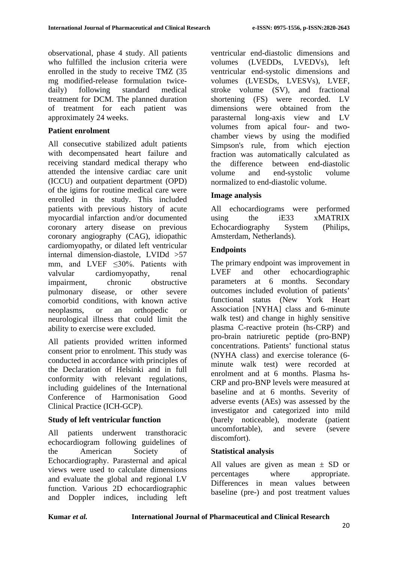observational, phase 4 study. All patients who fulfilled the inclusion criteria were enrolled in the study to receive TMZ (35 mg modified-release formulation twicedaily) following standard medical treatment for DCM. The planned duration of treatment for each patient was approximately 24 weeks.

## **Patient enrolment**

All consecutive stabilized adult patients with decompensated heart failure and receiving standard medical therapy who attended the intensive cardiac care unit (ICCU) and outpatient department (OPD) of the igims for routine medical care were enrolled in the study. This included patients with previous history of acute myocardial infarction and/or documented coronary artery disease on previous coronary angiography (CAG), idiopathic cardiomyopathy, or dilated left ventricular internal dimension-diastole, LVIDd >57 mm, and LVEF <30%. Patients with valvular cardiomyopathy, renal impairment, chronic obstructive pulmonary disease, or other severe comorbid conditions, with known active neoplasms, or an orthopedic or neurological illness that could limit the ability to exercise were excluded.

All patients provided written informed consent prior to enrolment. This study was conducted in accordance with principles of the Declaration of Helsinki and in full conformity with relevant regulations, including guidelines of the International Conference of Harmonisation Good Clinical Practice (ICH-GCP).

## **Study of left ventricular function**

All patients underwent transthoracic echocardiogram following guidelines of the American Society of Echocardiography. Parasternal and apical views were used to calculate dimensions and evaluate the global and regional LV function. Various 2D echocardiographic and Doppler indices, including left ventricular end-diastolic dimensions and volumes (LVEDDs, LVEDVs), left ventricular end-systolic dimensions and volumes (LVESDs, LVESVs), LVEF, stroke volume (SV), and fractional shortening (FS) were recorded. LV dimensions were obtained from the parasternal long-axis view and LV volumes from apical four- and twochamber views by using the modified Simpson's rule, from which ejection fraction was automatically calculated as the difference between end-diastolic volume and end-systolic volume normalized to end-diastolic volume.

# **Image analysis**

All echocardiograms were performed using the iE33 xMATRIX Echocardiography System (Philips, Amsterdam, Netherlands).

# **Endpoints**

The primary endpoint was improvement in LVEF and other echocardiographic parameters at 6 months. Secondary outcomes included evolution of patients' functional status (New York Heart Association [NYHA] class and 6-minute walk test) and change in highly sensitive plasma C-reactive protein (hs-CRP) and pro-brain natriuretic peptide (pro-BNP) concentrations. Patients' functional status (NYHA class) and exercise tolerance (6 minute walk test) were recorded at enrolment and at 6 months. Plasma hs-CRP and pro-BNP levels were measured at baseline and at 6 months. Severity of adverse events (AEs) was assessed by the investigator and categorized into mild (barely noticeable), moderate (patient uncomfortable), and severe (severe discomfort).

## **Statistical analysis**

All values are given as mean  $\pm$  SD or percentages where appropriate. Differences in mean values between baseline (pre-) and post treatment values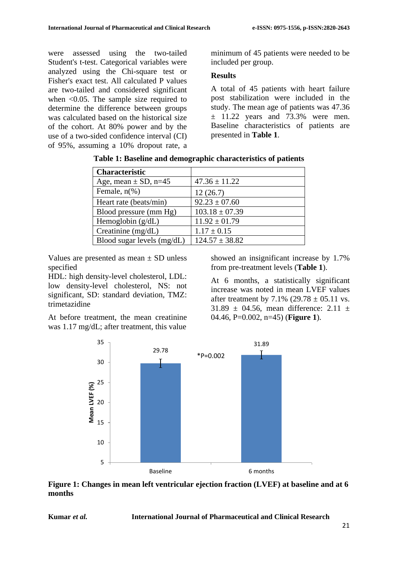were assessed using the two-tailed Student's t-test. Categorical variables were analyzed using the Chi-square test or Fisher's exact test. All calculated P values are two-tailed and considered significant when  $\leq 0.05$ . The sample size required to determine the difference between groups was calculated based on the historical size of the cohort. At 80% power and by the use of a two-sided confidence interval (CI) of 95%, assuming a 10% dropout rate, a minimum of 45 patients were needed to be included per group.

## **Results**

A total of 45 patients with heart failure post stabilization were included in the study. The mean age of patients was 47.36  $\pm$  11.22 years and 73.3% were men. Baseline characteristics of patients are presented in **Table 1**.

| <b>Characteristic</b>        |                    |
|------------------------------|--------------------|
| Age, mean $\pm$ SD, n=45     | $47.36 \pm 11.22$  |
| Female, $n\%$ )              | 12(26.7)           |
| Heart rate (beats/min)       | $92.23 \pm 07.60$  |
| Blood pressure (mm Hg)       | $103.18 \pm 07.39$ |
| Hemoglobin $(g/dL)$          | $11.92 \pm 01.79$  |
| Creatinine $(mg/dL)$         | $1.17 \pm 0.15$    |
| Blood sugar levels $(mg/dL)$ | $124.57 \pm 38.82$ |

|  |  | Table 1: Baseline and demographic characteristics of patients |  |  |
|--|--|---------------------------------------------------------------|--|--|
|  |  |                                                               |  |  |

Values are presented as mean  $\pm$  SD unless specified

HDL: high density-level cholesterol, LDL: low density-level cholesterol, NS: not significant, SD: standard deviation, TMZ: trimetazidine

At before treatment, the mean creatinine was 1.17 mg/dL; after treatment, this value

showed an insignificant increase by 1.7% from pre-treatment levels (**Table 1**).

At 6 months, a statistically significant increase was noted in mean LVEF values after treatment by 7.1% (29.78  $\pm$  05.11 vs. 31.89  $\pm$  04.56, mean difference: 2.11  $\pm$ 04.46, P=0.002, n=45) (**Figure 1**).



**Figure 1: Changes in mean left ventricular ejection fraction (LVEF) at baseline and at 6 months**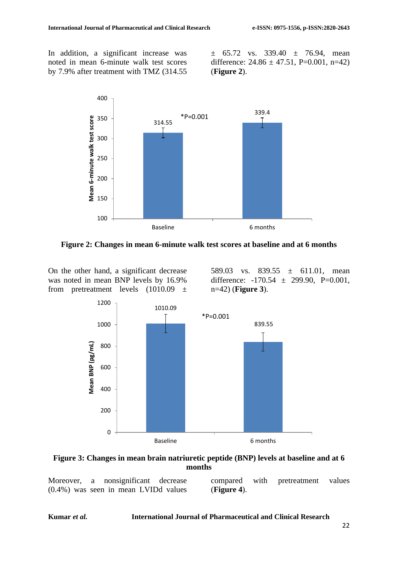In addition, a significant increase was noted in mean 6-minute walk test scores by 7.9% after treatment with TMZ (314.55

 $\pm$  65.72 vs. 339.40  $\pm$  76.94, mean difference:  $24.86 \pm 47.51$ , P=0.001, n=42) (**Figure 2**).



**Figure 2: Changes in mean 6-minute walk test scores at baseline and at 6 months**

On the other hand, a significant decrease was noted in mean BNP levels by 16.9% from pretreatment levels  $(1010.09 \pm$ 

589.03 vs. 839.55  $\pm$  611.01, mean difference:  $-170.54 \pm 299.90$ , P=0.001, n=42) (**Figure 3**).



**Figure 3: Changes in mean brain natriuretic peptide (BNP) levels at baseline and at 6 months**

Moreover, a nonsignificant decrease (0.4%) was seen in mean LVIDd values

compared with pretreatment values (**Figure 4**).

#### **Kumar** *et al.* **International Journal of Pharmaceutical and Clinical Research**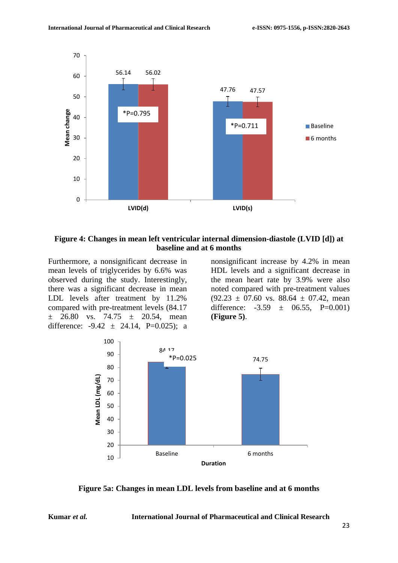

#### **Figure 4: Changes in mean left ventricular internal dimension-diastole (LVID [d]) at baseline and at 6 months**

Furthermore, a nonsignificant decrease in mean levels of triglycerides by 6.6% was observed during the study. Interestingly, there was a significant decrease in mean LDL levels after treatment by 11.2% compared with pre-treatment levels (84.17  $\pm$  26.80 vs. 74.75  $\pm$  20.54, mean difference:  $-9.42 \pm 24.14$ , P=0.025); a nonsignificant increase by 4.2% in mean HDL levels and a significant decrease in the mean heart rate by 3.9% were also noted compared with pre-treatment values  $(92.23 \pm 07.60 \text{ vs. } 88.64 \pm 07.42 \text{ , mean})$ difference:  $-3.59 \pm 06.55$ , P=0.001) **(Figure 5)**.



**Figure 5a: Changes in mean LDL levels from baseline and at 6 months**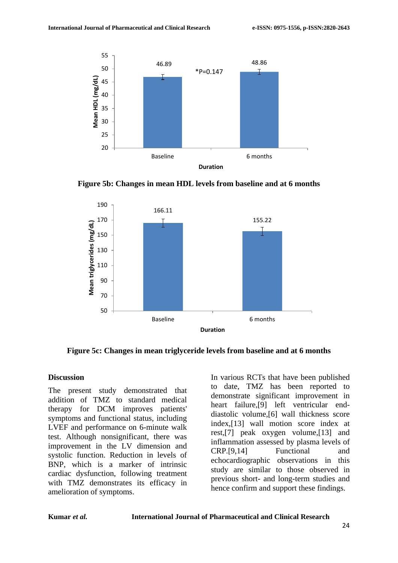

**Figure 5b: Changes in mean HDL levels from baseline and at 6 months**



**Figure 5c: Changes in mean triglyceride levels from baseline and at 6 months**

#### **Discussion**

The present study demonstrated that addition of TMZ to standard medical therapy for DCM improves patients' symptoms and functional status, including LVEF and performance on 6-minute walk test. Although nonsignificant, there was improvement in the LV dimension and systolic function. Reduction in levels of BNP, which is a marker of intrinsic cardiac dysfunction, following treatment with TMZ demonstrates its efficacy in amelioration of symptoms.

In various RCTs that have been published to date, TMZ has been reported to demonstrate significant improvement in heart failure,[9] left ventricular enddiastolic volume,[6] wall thickness score index,[13] wall motion score index at rest,[7] peak oxygen volume,[13] and inflammation assessed by plasma levels of CRP.[9,14] Functional and echocardiographic observations in this study are similar to those observed in previous short- and long-term studies and hence confirm and support these findings.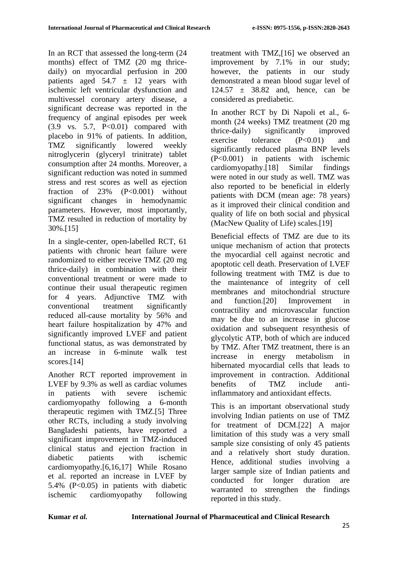In an RCT that assessed the long-term (24 months) effect of TMZ (20 mg thricedaily) on myocardial perfusion in 200 patients aged  $54.7 \pm 12$  years with ischemic left ventricular dysfunction and multivessel coronary artery disease, a significant decrease was reported in the frequency of anginal episodes per week  $(3.9 \text{ vs. } 5.7, \text{ P}<0.01)$  compared with placebo in 91% of patients. In addition, TMZ significantly lowered weekly nitroglycerin (glyceryl trinitrate) tablet consumption after 24 months. Moreover, a significant reduction was noted in summed stress and rest scores as well as ejection fraction of 23% (P<0.001) without significant changes in hemodynamic parameters. However, most importantly, TMZ resulted in reduction of mortality by 30%.[15]

In a single-center, open-labelled RCT, 61 patients with chronic heart failure were randomized to either receive TMZ (20 mg thrice-daily) in combination with their conventional treatment or were made to continue their usual therapeutic regimen for 4 years. Adjunctive TMZ with conventional treatment significantly reduced all-cause mortality by 56% and heart failure hospitalization by 47% and significantly improved LVEF and patient functional status, as was demonstrated by an increase in 6-minute walk test scores.<sup>[14]</sup>

Another RCT reported improvement in LVEF by 9.3% as well as cardiac volumes in patients with severe ischemic cardiomyopathy following a 6-month therapeutic regimen with TMZ.[5] Three other RCTs, including a study involving Bangladeshi patients, have reported a significant improvement in TMZ-induced clinical status and ejection fraction in diabetic patients with ischemic cardiomyopathy.[6,16,17] While Rosano et al. reported an increase in LVEF by 5.4% (P<0.05) in patients with diabetic ischemic cardiomyopathy following

treatment with TMZ,[16] we observed an improvement by 7.1% in our study; however, the patients in our study demonstrated a mean blood sugar level of  $124.57 \pm 38.82$  and, hence, can be considered as prediabetic.

In another RCT by Di Napoli et al., 6 month (24 weeks) TMZ treatment (20 mg thrice-daily) significantly improved exercise tolerance  $(P<0.01)$  and significantly reduced plasma BNP levels (P<0.001) in patients with ischemic cardiomyopathy.[18] Similar findings were noted in our study as well. TMZ was also reported to be beneficial in elderly patients with DCM (mean age: 78 years) as it improved their clinical condition and quality of life on both social and physical (MacNew Quality of Life) scales.[19]

Beneficial effects of TMZ are due to its unique mechanism of action that protects the myocardial cell against necrotic and apoptotic cell death. Preservation of LVEF following treatment with TMZ is due to the maintenance of integrity of cell membranes and mitochondrial structure and function.[20] Improvement in contractility and microvascular function may be due to an increase in glucose oxidation and subsequent resynthesis of glycolytic ATP, both of which are induced by TMZ. After TMZ treatment, there is an increase in energy metabolism in hibernated myocardial cells that leads to improvement in contraction. Additional benefits of TMZ include antiinflammatory and antioxidant effects.

This is an important observational study involving Indian patients on use of TMZ for treatment of DCM.[22] A major limitation of this study was a very small sample size consisting of only 45 patients and a relatively short study duration. Hence, additional studies involving a larger sample size of Indian patients and conducted for longer duration are warranted to strengthen the findings reported in this study.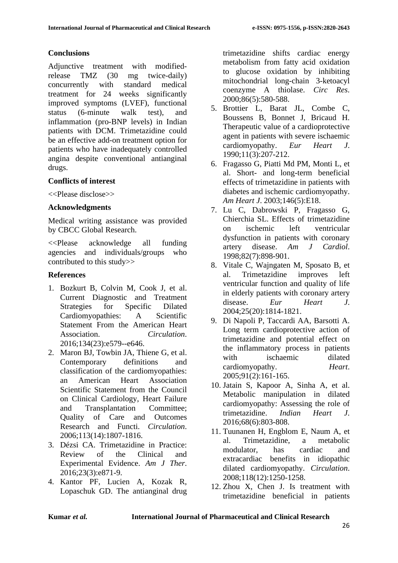## **Conclusions**

Adjunctive treatment with modifiedrelease TMZ (30 mg twice-daily) concurrently with standard medical treatment for 24 weeks significantly improved symptoms (LVEF), functional status (6-minute walk test), and inflammation (pro-BNP levels) in Indian patients with DCM. Trimetazidine could be an effective add-on treatment option for patients who have inadequately controlled angina despite conventional antianginal drugs.

#### **Conflicts of interest**

<<Please disclose>>

#### **Acknowledgments**

Medical writing assistance was provided by CBCC Global Research.

<<Please acknowledge all funding agencies and individuals/groups who contributed to this study>>

## **References**

- 1. Bozkurt B, Colvin M, Cook J, et al. Current Diagnostic and Treatment Strategies for Specific Dilated Cardiomyopathies: A Scientific Statement From the American Heart Association. *Circulation*. 2016;134(23):e579--e646.
- 2. Maron BJ, Towbin JA, Thiene G, et al. Contemporary definitions and classification of the cardiomyopathies: an American Heart Association Scientific Statement from the Council on Clinical Cardiology, Heart Failure and Transplantation Committee; Quality of Care and Outcomes Research and Functi. *Circulation*. 2006;113(14):1807-1816.
- 3. Dézsi CA. Trimetazidine in Practice: Review of the Clinical and Experimental Evidence. *Am J Ther*. 2016;23(3):e871-9.
- 4. Kantor PF, Lucien A, Kozak R, Lopaschuk GD. The antianginal drug

trimetazidine shifts cardiac energy metabolism from fatty acid oxidation to glucose oxidation by inhibiting mitochondrial long-chain 3-ketoacyl coenzyme A thiolase. *Circ Res*. 2000;86(5):580-588.

- 5. Brottier L, Barat JL, Combe C, Boussens B, Bonnet J, Bricaud H. Therapeutic value of a cardioprotective agent in patients with severe ischaemic cardiomyopathy. *Eur Heart J*. 1990;11(3):207-212.
- 6. Fragasso G, Piatti Md PM, Monti L, et al. Short- and long-term beneficial effects of trimetazidine in patients with diabetes and ischemic cardiomyopathy. *Am Heart J*. 2003;146(5):E18.
- 7. Lu C, Dabrowski P, Fragasso G, Chierchia SL. Effects of trimetazidine on ischemic left ventricular dysfunction in patients with coronary artery disease. *Am J Cardiol*. 1998;82(7):898-901.
- 8. Vitale C, Wajngaten M, Sposato B, et al. Trimetazidine improves left ventricular function and quality of life in elderly patients with coronary artery disease. *Eur Heart J*. 2004;25(20):1814-1821.
- 9. Di Napoli P, Taccardi AA, Barsotti A. Long term cardioprotective action of trimetazidine and potential effect on the inflammatory process in patients with ischaemic dilated cardiomyopathy. *Heart*. 2005;91(2):161-165.
- 10. Jatain S, Kapoor A, Sinha A, et al. Metabolic manipulation in dilated cardiomyopathy: Assessing the role of trimetazidine. *Indian Heart J*. 2016;68(6):803-808.
- 11. Tuunanen H, Engblom E, Naum A, et al. Trimetazidine, a metabolic modulator, has cardiac and extracardiac benefits in idiopathic dilated cardiomyopathy. *Circulation*. 2008;118(12):1250-1258.
- 12. Zhou X, Chen J. Is treatment with trimetazidine beneficial in patients